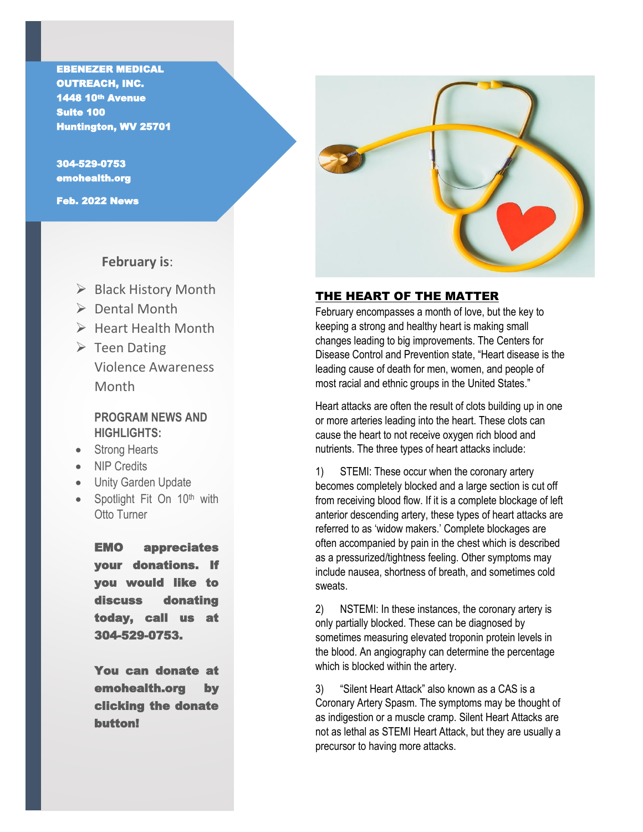1448 10<sup>th</sup> Avenue EBENEZER MEDICAL OUTREACH, INC. Suite 100 Huntington, WV 25701

304-529-0753 emohealth.org

Feb. 2022 News

I

# **February is**:

- $\triangleright$  Black History Month
- $\triangleright$  Dental Month
- $\triangleright$  Heart Health Month
- $\triangleright$  Teen Dating Violence Awareness Month

## **PROGRAM NEWS AND HIGHLIGHTS:**

- Strong Hearts
- NIP Credits
- Unity Garden Update
- Spotlight Fit On 10<sup>th</sup> with Otto Turner

EMO appreciates your donations. If you would like to discuss donating today, call us at 304-529-0753.

You can donate at emohealth.org by clicking the donate button!



## THE HEART OF THE MATTER

February encompasses a month of love, but the key to keeping a strong and healthy heart is making small changes leading to big improvements. The Centers for Disease Control and Prevention state, "Heart disease is the leading cause of death for men, women, and people of most racial and ethnic groups in the United States."

Heart attacks are often the result of clots building up in one or more arteries leading into the heart. These clots can cause the heart to not receive oxygen rich blood and nutrients. The three types of heart attacks include:

1) STEMI: These occur when the coronary artery becomes completely blocked and a large section is cut off from receiving blood flow. If it is a complete blockage of left anterior descending artery, these types of heart attacks are referred to as 'widow makers.' Complete blockages are often accompanied by pain in the chest which is described as a pressurized/tightness feeling. Other symptoms may include nausea, shortness of breath, and sometimes cold sweats.

2) NSTEMI: In these instances, the coronary artery is only partially blocked. These can be diagnosed by sometimes measuring elevated troponin protein levels in the blood. An angiography can determine the percentage which is blocked within the artery.

3) "Silent Heart Attack" also known as a CAS is a Coronary Artery Spasm. The symptoms may be thought of as indigestion or a muscle cramp. Silent Heart Attacks are not as lethal as STEMI Heart Attack, but they are usually a precursor to having more attacks.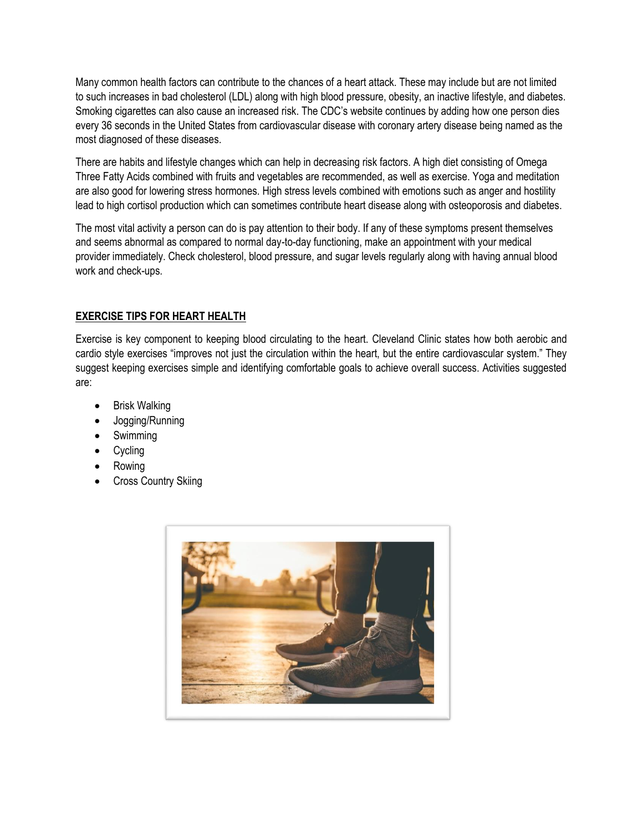Many common health factors can contribute to the chances of a heart attack. These may include but are not limited to such increases in bad cholesterol (LDL) along with high blood pressure, obesity, an inactive lifestyle, and diabetes. Smoking cigarettes can also cause an increased risk. The CDC's website continues by adding how one person dies every 36 seconds in the United States from cardiovascular disease with coronary artery disease being named as the most diagnosed of these diseases.

There are habits and lifestyle changes which can help in decreasing risk factors. A high diet consisting of Omega Three Fatty Acids combined with fruits and vegetables are recommended, as well as exercise. Yoga and meditation are also good for lowering stress hormones. High stress levels combined with emotions such as anger and hostility lead to high cortisol production which can sometimes contribute heart disease along with osteoporosis and diabetes.

The most vital activity a person can do is pay attention to their body. If any of these symptoms present themselves and seems abnormal as compared to normal day-to-day functioning, make an appointment with your medical provider immediately. Check cholesterol, blood pressure, and sugar levels regularly along with having annual blood work and check-ups.

## **EXERCISE TIPS FOR HEART HEALTH**

Exercise is key component to keeping blood circulating to the heart. Cleveland Clinic states how both aerobic and cardio style exercises "improves not just the circulation within the heart, but the entire cardiovascular system." They suggest keeping exercises simple and identifying comfortable goals to achieve overall success. Activities suggested are:

- Brisk Walking
- Jogging/Running
- Swimming
- Cycling
- Rowing
- Cross Country Skiing